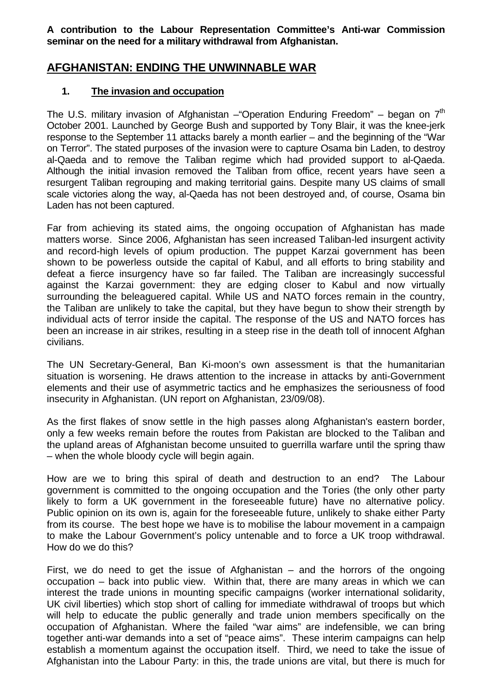**A contribution to the Labour Representation Committee's Anti-war Commission seminar on the need for a military withdrawal from Afghanistan.** 

# **AFGHANISTAN: ENDING THE UNWINNABLE WAR**

# **1. The invasion and occupation**

The U.S. military invasion of Afghanistan – "Operation Enduring Freedom" – began on  $7<sup>th</sup>$ October 2001. Launched by George Bush and supported by Tony Blair, it was the knee-jerk response to the September 11 attacks barely a month earlier – and the beginning of the "War on Terror". The stated purposes of the invasion were to capture Osama bin Laden, to destroy al-Qaeda and to remove the Taliban regime which had provided support to al-Qaeda. Although the initial invasion removed the Taliban from office, recent years have seen a resurgent Taliban regrouping and making territorial gains. Despite many US claims of small scale victories along the way, al-Qaeda has not been destroyed and, of course, Osama bin Laden has not been captured.

Far from achieving its stated aims, the ongoing occupation of Afghanistan has made matters worse. Since 2006, Afghanistan has seen increased Taliban-led insurgent activity and record-high levels of opium production. The puppet Karzai government has been shown to be powerless outside the capital of Kabul, and all efforts to bring stability and defeat a fierce insurgency have so far failed. The Taliban are increasingly successful against the Karzai government: they are edging closer to Kabul and now virtually surrounding the beleaguered capital. While US and NATO forces remain in the country, the Taliban are unlikely to take the capital, but they have begun to show their strength by individual acts of terror inside the capital. The response of the US and NATO forces has been an increase in air strikes, resulting in a steep rise in the death toll of innocent Afghan civilians.

The UN Secretary-General, Ban Ki-moon's own assessment is that the humanitarian situation is worsening. He draws attention to the increase in attacks by anti-Government elements and their use of asymmetric tactics and he emphasizes the seriousness of food insecurity in Afghanistan. (UN report on Afghanistan, 23/09/08).

As the first flakes of snow settle in the high passes along Afghanistan's eastern border, only a few weeks remain before the routes from Pakistan are blocked to the Taliban and the upland areas of Afghanistan become unsuited to guerrilla warfare until the spring thaw – when the whole bloody cycle will begin again.

How are we to bring this spiral of death and destruction to an end? The Labour government is committed to the ongoing occupation and the Tories (the only other party likely to form a UK government in the foreseeable future) have no alternative policy. Public opinion on its own is, again for the foreseeable future, unlikely to shake either Party from its course. The best hope we have is to mobilise the labour movement in a campaign to make the Labour Government's policy untenable and to force a UK troop withdrawal. How do we do this?

First, we do need to get the issue of Afghanistan  $-$  and the horrors of the ongoing occupation – back into public view. Within that, there are many areas in which we can interest the trade unions in mounting specific campaigns (worker international solidarity, UK civil liberties) which stop short of calling for immediate withdrawal of troops but which will help to educate the public generally and trade union members specifically on the occupation of Afghanistan. Where the failed "war aims" are indefensible, we can bring together anti-war demands into a set of "peace aims". These interim campaigns can help establish a momentum against the occupation itself. Third, we need to take the issue of Afghanistan into the Labour Party: in this, the trade unions are vital, but there is much for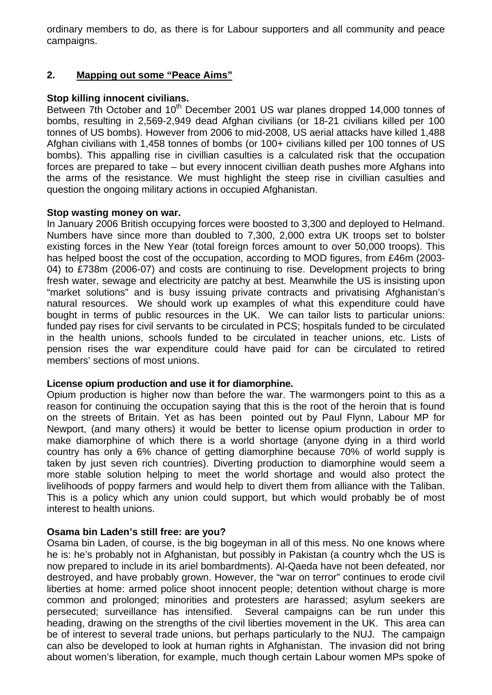ordinary members to do, as there is for Labour supporters and all community and peace campaigns.

# **2. Mapping out some "Peace Aims"**

## **Stop killing innocent civilians.**

Between 7th October and 10<sup>th</sup> December 2001 US war planes dropped 14,000 tonnes of bombs, resulting in 2,569-2,949 dead Afghan civilians (or 18-21 civilians killed per 100 tonnes of US bombs). However from 2006 to mid-2008, US aerial attacks have killed 1,488 Afghan civilians with 1,458 tonnes of bombs (or 100+ civilians killed per 100 tonnes of US bombs). This appalling rise in civillian casulties is a calculated risk that the occupation forces are prepared to take – but every innocent civillian death pushes more Afghans into the arms of the resistance. We must highlight the steep rise in civillian casulties and question the ongoing military actions in occupied Afghanistan.

## **Stop wasting money on war.**

In January 2006 British occupying forces were boosted to 3,300 and deployed to Helmand. Numbers have since more than doubled to 7,300, 2,000 extra UK troops set to bolster existing forces in the New Year (total foreign forces amount to over 50,000 troops). This has helped boost the cost of the occupation, according to MOD figures, from £46m (2003-04) to £738m (2006-07) and costs are continuing to rise. Development projects to bring fresh water, sewage and electricity are patchy at best. Meanwhile the US is insisting upon "market solutions" and is busy issuing private contracts and privatising Afghanistan's natural resources. We should work up examples of what this expenditure could have bought in terms of public resources in the UK. We can tailor lists to particular unions: funded pay rises for civil servants to be circulated in PCS; hospitals funded to be circulated in the health unions, schools funded to be circulated in teacher unions, etc. Lists of pension rises the war expenditure could have paid for can be circulated to retired members' sections of most unions.

## **License opium production and use it for diamorphine.**

Opium production is higher now than before the war. The warmongers point to this as a reason for continuing the occupation saying that this is the root of the heroin that is found on the streets of Britain. Yet as has been pointed out by Paul Flynn, Labour MP for Newport, (and many others) it would be better to license opium production in order to make diamorphine of which there is a world shortage (anyone dying in a third world country has only a 6% chance of getting diamorphine because 70% of world supply is taken by just seven rich countries). Diverting production to diamorphine would seem a more stable solution helping to meet the world shortage and would also protect the livelihoods of poppy farmers and would help to divert them from alliance with the Taliban. This is a policy which any union could support, but which would probably be of most interest to health unions.

## **Osama bin Laden's still free: are you?**

Osama bin Laden, of course, is the big bogeyman in all of this mess. No one knows where he is: he's probably not in Afghanistan, but possibly in Pakistan (a country whch the US is now prepared to include in its ariel bombardments). Al-Qaeda have not been defeated, nor destroyed, and have probably grown. However, the "war on terror" continues to erode civil liberties at home: armed police shoot innocent people; detention without charge is more common and prolonged; minorities and protesters are harassed; asylum seekers are persecuted; surveillance has intensified. Several campaigns can be run under this heading, drawing on the strengths of the civil liberties movement in the UK. This area can be of interest to several trade unions, but perhaps particularly to the NUJ. The campaign can also be developed to look at human rights in Afghanistan. The invasion did not bring about women's liberation, for example, much though certain Labour women MPs spoke of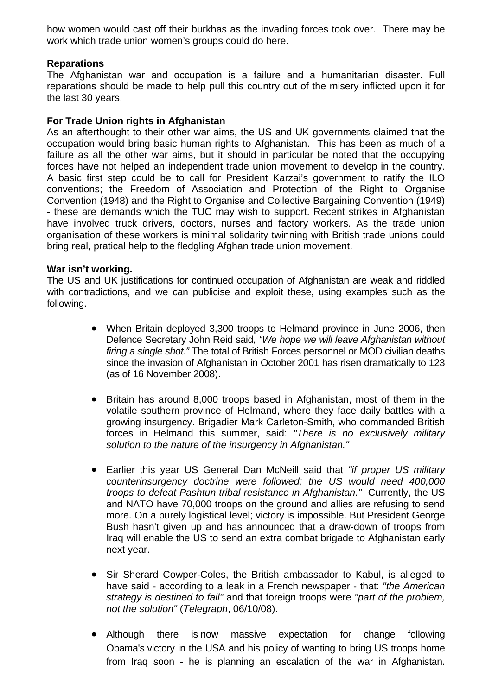how women would cast off their burkhas as the invading forces took over. There may be work which trade union women's groups could do here.

## **Reparations**

The Afghanistan war and occupation is a failure and a humanitarian disaster. Full reparations should be made to help pull this country out of the misery inflicted upon it for the last 30 years.

## **For Trade Union rights in Afghanistan**

As an afterthought to their other war aims, the US and UK governments claimed that the occupation would bring basic human rights to Afghanistan. This has been as much of a failure as all the other war aims, but it should in particular be noted that the occupying forces have not helped an independent trade union movement to develop in the country. A basic first step could be to call for President Karzai's government to ratify the ILO conventions; the Freedom of Association and Protection of the Right to Organise Convention (1948) and the Right to Organise and Collective Bargaining Convention (1949) - these are demands which the TUC may wish to support. Recent strikes in Afghanistan have involved truck drivers, doctors, nurses and factory workers. As the trade union organisation of these workers is minimal solidarity twinning with British trade unions could bring real, pratical help to the fledgling Afghan trade union movement.

### **War isn't working.**

The US and UK justifications for continued occupation of Afghanistan are weak and riddled with contradictions, and we can publicise and exploit these, using examples such as the following.

- When Britain deployed 3,300 troops to Helmand province in June 2006, then Defence Secretary John Reid said, *"We hope we will leave Afghanistan without firing a single shot."* The total of British Forces personnel or MOD civilian deaths since the invasion of Afghanistan in October 2001 has risen dramatically to 123 (as of 16 November 2008).
- Britain has around 8,000 troops based in Afghanistan, most of them in the volatile southern province of Helmand, where they face daily battles with a growing insurgency. Brigadier Mark Carleton-Smith, who commanded British forces in Helmand this summer, said: *"There is no exclusively military solution to the nature of the insurgency in Afghanistan."*
- Earlier this year US General Dan McNeill said that *"if proper US military counterinsurgency doctrine were followed; the US would need 400,000 troops to defeat Pashtun tribal resistance in Afghanistan."* Currently, the US and NATO have 70,000 troops on the ground and allies are refusing to send more. On a purely logistical level; victory is impossible. But President George Bush hasn't given up and has announced that a draw-down of troops from Iraq will enable the US to send an extra combat brigade to Afghanistan early next year.
- Sir Sherard Cowper-Coles, the British ambassador to Kabul, is alleged to have said - according to a leak in a French newspaper - that: *"the American strategy is destined to fail"* and that foreign troops were *"part of the problem, not the solution"* (*Telegraph*, 06/10/08).
- Although there is now massive expectation for change following Obama's victory in the USA and his policy of wanting to bring US troops home from Iraq soon - he is planning an escalation of the war in Afghanistan.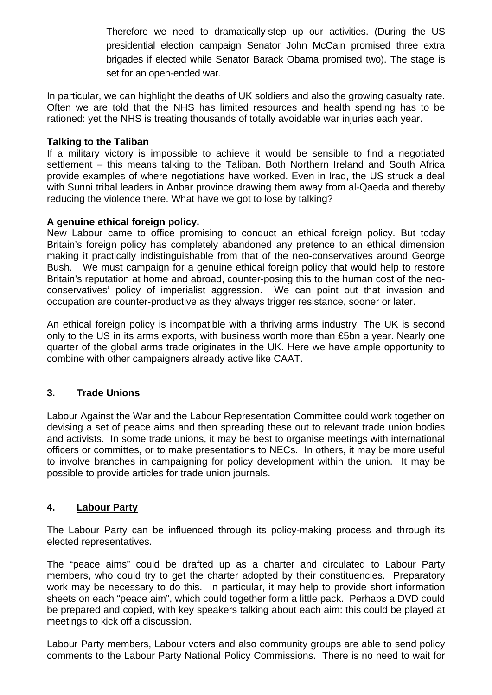Therefore we need to dramatically step up our activities. (During the US presidential election campaign Senator John McCain promised three extra brigades if elected while Senator Barack Obama promised two). The stage is set for an open-ended war.

In particular, we can highlight the deaths of UK soldiers and also the growing casualty rate. Often we are told that the NHS has limited resources and health spending has to be rationed: yet the NHS is treating thousands of totally avoidable war injuries each year.

## **Talking to the Taliban**

If a military victory is impossible to achieve it would be sensible to find a negotiated settlement – this means talking to the Taliban. Both Northern Ireland and South Africa provide examples of where negotiations have worked. Even in Iraq, the US struck a deal with Sunni tribal leaders in Anbar province drawing them away from al-Qaeda and thereby reducing the violence there. What have we got to lose by talking?

## **A genuine ethical foreign policy.**

New Labour came to office promising to conduct an ethical foreign policy. But today Britain's foreign policy has completely abandoned any pretence to an ethical dimension making it practically indistinguishable from that of the neo-conservatives around George Bush. We must campaign for a genuine ethical foreign policy that would help to restore Britain's reputation at home and abroad, counter-posing this to the human cost of the neoconservatives' policy of imperialist aggression. We can point out that invasion and occupation are counter-productive as they always trigger resistance, sooner or later.

An ethical foreign policy is incompatible with a thriving arms industry. The UK is second only to the US in its arms exports, with business worth more than £5bn a year. Nearly one quarter of the global arms trade originates in the UK. Here we have ample opportunity to combine with other campaigners already active like CAAT.

# **3. Trade Unions**

Labour Against the War and the Labour Representation Committee could work together on devising a set of peace aims and then spreading these out to relevant trade union bodies and activists. In some trade unions, it may be best to organise meetings with international officers or committes, or to make presentations to NECs. In others, it may be more useful to involve branches in campaigning for policy development within the union. It may be possible to provide articles for trade union journals.

# **4. Labour Party**

The Labour Party can be influenced through its policy-making process and through its elected representatives.

The "peace aims" could be drafted up as a charter and circulated to Labour Party members, who could try to get the charter adopted by their constituencies. Preparatory work may be necessary to do this. In particular, it may help to provide short information sheets on each "peace aim", which could together form a little pack. Perhaps a DVD could be prepared and copied, with key speakers talking about each aim: this could be played at meetings to kick off a discussion.

Labour Party members, Labour voters and also community groups are able to send policy comments to the Labour Party National Policy Commissions. There is no need to wait for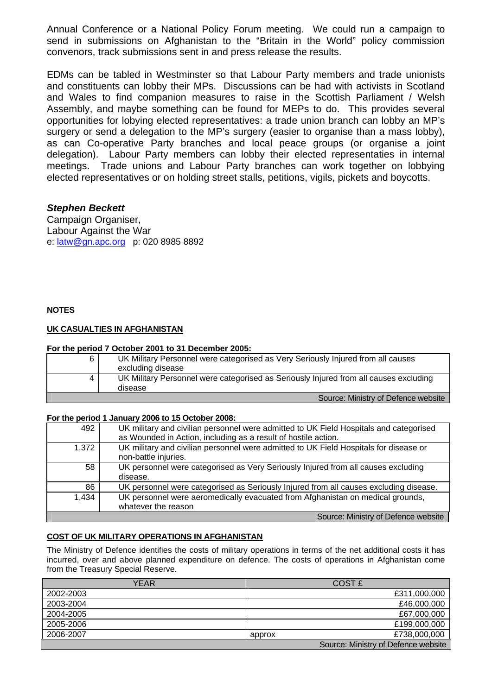Annual Conference or a National Policy Forum meeting. We could run a campaign to send in submissions on Afghanistan to the "Britain in the World" policy commission convenors, track submissions sent in and press release the results.

EDMs can be tabled in Westminster so that Labour Party members and trade unionists and constituents can lobby their MPs. Discussions can be had with activists in Scotland and Wales to find companion measures to raise in the Scottish Parliament / Welsh Assembly, and maybe something can be found for MEPs to do. This provides several opportunities for lobying elected representatives: a trade union branch can lobby an MP's surgery or send a delegation to the MP's surgery (easier to organise than a mass lobby), as can Co-operative Party branches and local peace groups (or organise a joint delegation). Labour Party members can lobby their elected representaties in internal meetings. Trade unions and Labour Party branches can work together on lobbying elected representatives or on holding street stalls, petitions, vigils, pickets and boycotts.

### *Stephen Beckett*

Campaign Organiser, Labour Against the War e: [latw@gn.apc.org](mailto:latw@gn.apc.org) p: 020 8985 8892

### **NOTES**

### **UK CASUALTIES IN AFGHANISTAN**

#### **For the period 7 October 2001 to 31 December 2005:**

| 6 | UK Military Personnel were categorised as Very Seriously Injured from all causes<br>excluding disease |
|---|-------------------------------------------------------------------------------------------------------|
| 4 | UK Military Personnel were categorised as Seriously Injured from all causes excluding<br>disease      |
|   | Source: Ministry of Defence website                                                                   |

#### **For the period 1 January 2006 to 15 October 2008:**

| 492   | UK military and civilian personnel were admitted to UK Field Hospitals and categorised<br>as Wounded in Action, including as a result of hostile action. |
|-------|----------------------------------------------------------------------------------------------------------------------------------------------------------|
| 1.372 | UK military and civilian personnel were admitted to UK Field Hospitals for disease or<br>non-battle injuries.                                            |
| 58    | UK personnel were categorised as Very Seriously Injured from all causes excluding<br>disease.                                                            |
| 86    | UK personnel were categorised as Seriously Injured from all causes excluding disease.                                                                    |
| 1,434 | UK personnel were aeromedically evacuated from Afghanistan on medical grounds,<br>whatever the reason                                                    |
|       | Source: Ministry of Defence website                                                                                                                      |

### **COST OF UK MILITARY OPERATIONS IN AFGHANISTAN**

The Ministry of Defence identifies the costs of military operations in terms of the net additional costs it has incurred, over and above planned expenditure on defence. The costs of operations in Afghanistan come from the Treasury Special Reserve.

| YEAR      |        | <b>COST £</b>                       |
|-----------|--------|-------------------------------------|
| 2002-2003 |        | £311,000,000                        |
| 2003-2004 |        | £46,000,000                         |
| 2004-2005 |        | £67,000,000                         |
| 2005-2006 |        | £199,000,000                        |
| 2006-2007 | approx | £738,000,000                        |
|           |        | Source: Ministry of Defence website |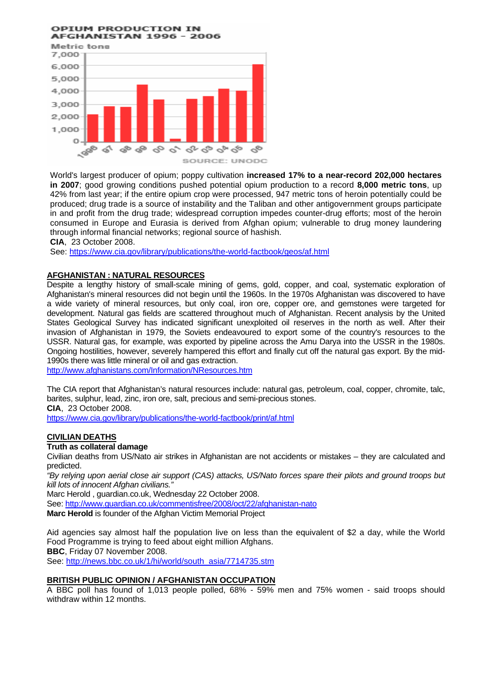#### **OPTUM PRODUCTION IN AFGHANISTAN 1996 - 2006**



World's largest producer of opium; poppy cultivation **increased 17% to a near-record 202,000 hectares in 2007**; good growing conditions pushed potential opium production to a record **8,000 metric tons**, up 42% from last year; if the entire opium crop were processed, 947 metric tons of heroin potentially could be produced; drug trade is a source of instability and the Taliban and other antigovernment groups participate in and profit from the drug trade; widespread corruption impedes counter-drug efforts; most of the heroin consumed in Europe and Eurasia is derived from Afghan opium; vulnerable to drug money laundering through informal financial networks; regional source of hashish.

**CIA**, 23 October 2008.

See:<https://www.cia.gov/library/publications/the-world-factbook/geos/af.html>

### **AFGHANISTAN : NATURAL RESOURCES**

Despite a lengthy history of small-scale mining of gems, gold, copper, and coal, systematic exploration of Afghanistan's mineral resources did not begin until the 1960s. In the 1970s Afghanistan was discovered to have a wide variety of mineral resources, but only coal, iron ore, copper ore, and gemstones were targeted for development. Natural gas fields are scattered throughout much of Afghanistan. Recent analysis by the United States Geological Survey has indicated significant unexploited oil reserves in the north as well. After their invasion of Afghanistan in 1979, the Soviets endeavoured to export some of the country's resources to the USSR. Natural gas, for example, was exported by pipeline across the Amu Darya into the USSR in the 1980s. Ongoing hostilities, however, severely hampered this effort and finally cut off the natural gas export. By the mid-1990s there was little mineral or oil and gas extraction.

<http://www.afghanistans.com/Information/NResources.htm>

The CIA report that Afghanistan's natural resources include: natural gas, petroleum, coal, copper, chromite, talc, barites, sulphur, lead, zinc, iron ore, salt, precious and semi-precious stones.

**CIA**, 23 October 2008.

<https://www.cia.gov/library/publications/the-world-factbook/print/af.html>

### **CIVILIAN DEATHS**

#### **Truth as collateral damage**

Civilian deaths from US/Nato air strikes in Afghanistan are not accidents or mistakes – they are calculated and predicted.

*"By relying upon aerial close air support (CAS) attacks, US/Nato forces spare their pilots and ground troops but kill lots of innocent Afghan civilians."* 

[Marc Herold](http://www.guardian.co.uk/profile/marc-herold) , [guardian.co.uk](http://www.guardian.co.uk/), Wednesday 22 October 2008.

See:<http://www.guardian.co.uk/commentisfree/2008/oct/22/afghanistan-nato>

**Marc Herold** is founder of the Afghan Victim Memorial Project

Aid agencies say almost half the population live on less than the equivalent of \$2 a day, while the World Food Programme is trying to feed about eight million Afghans. **BBC**, Friday 07 November 2008.

See: [http://news.bbc.co.uk/1/hi/world/south\\_asia/7714735.stm](http://news.bbc.co.uk/1/hi/world/south_asia/7714735.stm)

### **BRITISH PUBLIC OPINION / AFGHANISTAN OCCUPATION**

A BBC poll has found of 1,013 people polled, 68% - 59% men and 75% women - said troops should withdraw within 12 months.